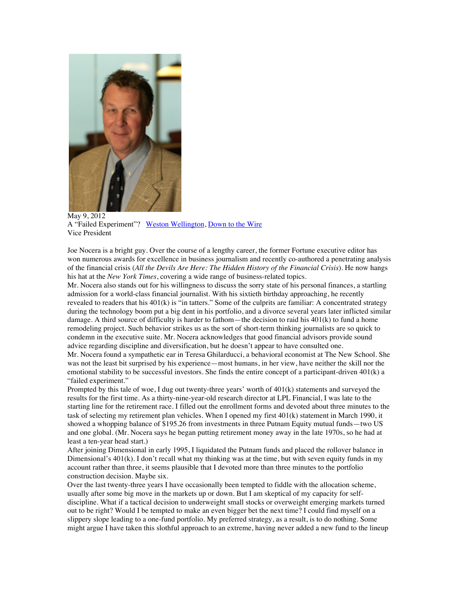

May 9, 2012 A "Failed Experiment"? Weston Wellington, Down to the Wire Vice President

Joe Nocera is a bright guy. Over the course of a lengthy career, the former Fortune executive editor has won numerous awards for excellence in business journalism and recently co-authored a penetrating analysis of the financial crisis (*All the Devils Are Here: The Hidden History of the Financial Crisis*). He now hangs his hat at the *New York Times*, covering a wide range of business-related topics.

Mr. Nocera also stands out for his willingness to discuss the sorry state of his personal finances, a startling admission for a world-class financial journalist. With his sixtieth birthday approaching, he recently revealed to readers that his  $401(k)$  is "in tatters." Some of the culprits are familiar: A concentrated strategy during the technology boom put a big dent in his portfolio, and a divorce several years later inflicted similar damage. A third source of difficulty is harder to fathom—the decision to raid his 401(k) to fund a home remodeling project. Such behavior strikes us as the sort of short-term thinking journalists are so quick to condemn in the executive suite. Mr. Nocera acknowledges that good financial advisors provide sound advice regarding discipline and diversification, but he doesn't appear to have consulted one.

Mr. Nocera found a sympathetic ear in Teresa Ghilarducci, a behavioral economist at The New School. She was not the least bit surprised by his experience—most humans, in her view, have neither the skill nor the emotional stability to be successful investors. She finds the entire concept of a participant-driven 401(k) a "failed experiment."

Prompted by this tale of woe, I dug out twenty-three years' worth of 401(k) statements and surveyed the results for the first time. As a thirty-nine-year-old research director at LPL Financial, I was late to the starting line for the retirement race. I filled out the enrollment forms and devoted about three minutes to the task of selecting my retirement plan vehicles. When I opened my first 401(k) statement in March 1990, it showed a whopping balance of \$195.26 from investments in three Putnam Equity mutual funds—two US and one global. (Mr. Nocera says he began putting retirement money away in the late 1970s, so he had at least a ten-year head start.)

After joining Dimensional in early 1995, I liquidated the Putnam funds and placed the rollover balance in Dimensional's 401(k). I don't recall what my thinking was at the time, but with seven equity funds in my account rather than three, it seems plausible that I devoted more than three minutes to the portfolio construction decision. Maybe six.

Over the last twenty-three years I have occasionally been tempted to fiddle with the allocation scheme, usually after some big move in the markets up or down. But I am skeptical of my capacity for selfdiscipline. What if a tactical decision to underweight small stocks or overweight emerging markets turned out to be right? Would I be tempted to make an even bigger bet the next time? I could find myself on a slippery slope leading to a one-fund portfolio. My preferred strategy, as a result, is to do nothing. Some might argue I have taken this slothful approach to an extreme, having never added a new fund to the lineup